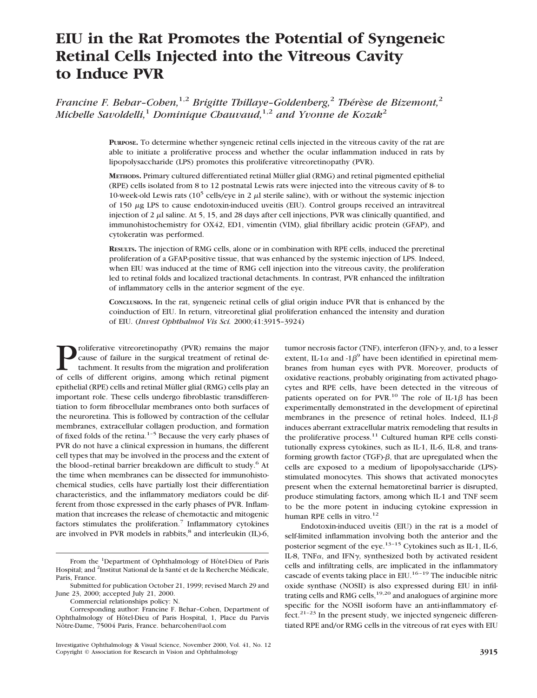# **EIU in the Rat Promotes the Potential of Syngeneic Retinal Cells Injected into the Vitreous Cavity to Induce PVR**

*Francine F. Behar-Cohen*,<sup>1,2</sup> *Brigitte Thillaye-Goldenberg*,<sup>2</sup> *Thérèse de Bizemont*,<sup>2</sup> *Michelle Savoldelli,*<sup>1</sup> *Dominique Chauvaud,*1,2 *and Yvonne de Kozak*<sup>2</sup>

> **PURPOSE.** To determine whether syngeneic retinal cells injected in the vitreous cavity of the rat are able to initiate a proliferative process and whether the ocular inflammation induced in rats by lipopolysaccharide (LPS) promotes this proliferative vitreoretinopathy (PVR).

> **METHODS.** Primary cultured differentiated retinal Müller glial (RMG) and retinal pigmented epithelial (RPE) cells isolated from 8 to 12 postnatal Lewis rats were injected into the vitreous cavity of 8- to 10-week-old Lewis rats ( $10^5$  cells/eye in 2  $\mu$ l sterile saline), with or without the systemic injection of 150 <sup>m</sup>g LPS to cause endotoxin-induced uveitis (EIU). Control groups received an intravitreal injection of 2  $\mu$ l saline. At 5, 15, and 28 days after cell injections, PVR was clinically quantified, and immunohistochemistry for OX42, ED1, vimentin (VIM), glial fibrillary acidic protein (GFAP), and cytokeratin was performed.

> **RESULTS.** The injection of RMG cells, alone or in combination with RPE cells, induced the preretinal proliferation of a GFAP-positive tissue, that was enhanced by the systemic injection of LPS. Indeed, when EIU was induced at the time of RMG cell injection into the vitreous cavity, the proliferation led to retinal folds and localized tractional detachments. In contrast, PVR enhanced the infiltration of inflammatory cells in the anterior segment of the eye.

> **CONCLUSIONS.** In the rat, syngeneic retinal cells of glial origin induce PVR that is enhanced by the coinduction of EIU. In return, vitreoretinal glial proliferation enhanced the intensity and duration of EIU. (*Invest Ophthalmol Vis Sci.* 2000;41:3915–3924)

**Proliferative vitreoretinopathy (PVR) remains the major** cause of failure in the surgical treatment of retinal detachment. It results from the migration and proliferation of cells of different origins, among which retinal cause of failure in the surgical treatment of retinal detachment. It results from the migration and proliferation of cells of different origins, among which retinal pigment epithelial (RPE) cells and retinal Müller glial (RMG) cells play an important role. These cells undergo fibroblastic transdifferentiation to form fibrocellular membranes onto both surfaces of the neuroretina. This is followed by contraction of the cellular membranes, extracellular collagen production, and formation of fixed folds of the retina.<sup>1-5</sup> Because the very early phases of PVR do not have a clinical expression in humans, the different cell types that may be involved in the process and the extent of the blood-retinal barrier breakdown are difficult to study.<sup>6</sup> At the time when membranes can be dissected for immunohistochemical studies, cells have partially lost their differentiation characteristics, and the inflammatory mediators could be different from those expressed in the early phases of PVR. Inflammation that increases the release of chemotactic and mitogenic factors stimulates the proliferation.<sup>7</sup> Inflammatory cytokines are involved in PVR models in rabbits, $8$  and interleukin (IL)-6,

Commercial relationships policy: N.

tumor necrosis factor (TNF), interferon (IFN)- $\gamma$ , and, to a lesser extent, IL-1 $\alpha$  and -1 $\beta^9$  have been identified in epiretinal membranes from human eyes with PVR. Moreover, products of oxidative reactions, probably originating from activated phagocytes and RPE cells, have been detected in the vitreous of patients operated on for PVR.<sup>10</sup> The role of IL-1 $\beta$  has been experimentally demonstrated in the development of epiretinal membranes in the presence of retinal holes. Indeed, IL1- $\beta$ induces aberrant extracellular matrix remodeling that results in the proliferative process.<sup>11</sup> Cultured human RPE cells constitutionally express cytokines, such as IL-1, IL-6, IL-8, and transforming growth factor (TGF)- $\beta$ , that are upregulated when the cells are exposed to a medium of lipopolysaccharide (LPS) stimulated monocytes. This shows that activated monocytes present when the external hematoretinal barrier is disrupted, produce stimulating factors, among which IL-1 and TNF seem to be the more potent in inducing cytokine expression in human RPE cells in vitro.<sup>12</sup>

Endotoxin-induced uveitis (EIU) in the rat is a model of self-limited inflammation involving both the anterior and the posterior segment of the eye.<sup>13-15</sup> Cytokines such as IL-1, IL-6, IL-8, TNF $\alpha$ , and IFN $\gamma$ , synthesized both by activated resident cells and infiltrating cells, are implicated in the inflammatory cascade of events taking place in EIU.<sup>16-19</sup> The inducible nitric oxide synthase (NOSII) is also expressed during EIU in infiltrating cells and RMG cells,  $19,20$  and analogues of arginine more specific for the NOSII isoform have an anti-inflammatory effect.<sup>21–23</sup> In the present study, we injected syngeneic differentiated RPE and/or RMG cells in the vitreous of rat eyes with EIU

From the <sup>1</sup>Department of Ophthalmology of Hôtel-Dieu of Paris Hospital; and <sup>2</sup>Institut National de la Santé et de la Recherche Médicale, Paris, France.

Submitted for publication October 21, 1999; revised March 29 and June 23, 2000; accepted July 21, 2000.

Corresponding author: Francine F. Behar–Cohen, Department of Ophthalmology of Hôtel-Dieu of Paris Hospital, 1, Place du Parvis Nôtre-Dame, 75004 Paris, France. beharcohen@aol.com

Investigative Ophthalmology & Visual Science, November 2000, Vol. 41, No. 12 Copyright © Association for Research in Vision and Ophthalmology **3915**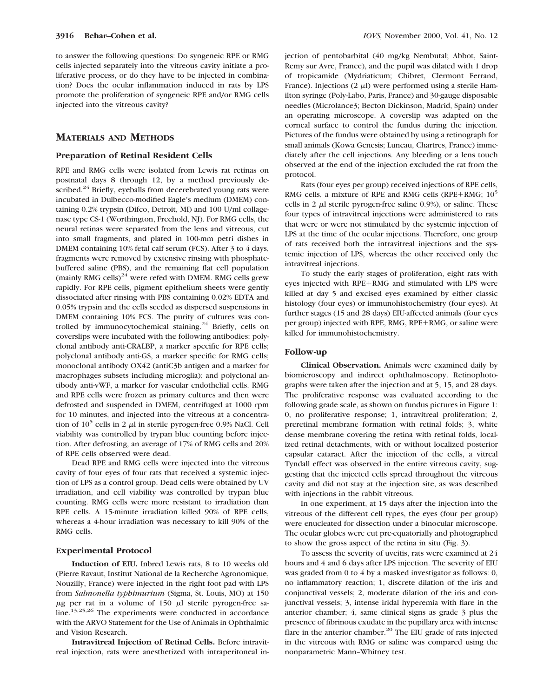to answer the following questions: Do syngeneic RPE or RMG cells injected separately into the vitreous cavity initiate a proliferative process, or do they have to be injected in combination? Does the ocular inflammation induced in rats by LPS promote the proliferation of syngeneic RPE and/or RMG cells injected into the vitreous cavity?

# **MATERIALS AND METHODS**

#### **Preparation of Retinal Resident Cells**

RPE and RMG cells were isolated from Lewis rat retinas on postnatal days 8 through 12, by a method previously described.<sup>24</sup> Briefly, eyeballs from decerebrated young rats were incubated in Dulbecco-modified Eagle's medium (DMEM) containing 0.2% trypsin (Difco, Detroit, MI) and 100 U/ml collagenase type CS-1 (Worthington, Freehold, NJ). For RMG cells, the neural retinas were separated from the lens and vitreous, cut into small fragments, and plated in 100-mm petri dishes in DMEM containing 10% fetal calf serum (FCS). After 3 to 4 days, fragments were removed by extensive rinsing with phosphatebuffered saline (PBS), and the remaining flat cell population (mainly RMG cells)<sup>24</sup> were refed with DMEM. RMG cells grew rapidly. For RPE cells, pigment epithelium sheets were gently dissociated after rinsing with PBS containing 0.02% EDTA and 0.05% trypsin and the cells seeded as dispersed suspensions in DMEM containing 10% FCS. The purity of cultures was controlled by immunocytochemical staining.<sup>24</sup> Briefly, cells on coverslips were incubated with the following antibodies: polyclonal antibody anti-CRALBP, a marker specific for RPE cells; polyclonal antibody anti-GS, a marker specific for RMG cells; monoclonal antibody OX42 (antiC3b antigen and a marker for macrophages subsets including microglia); and polyclonal antibody anti-vWF, a marker for vascular endothelial cells. RMG and RPE cells were frozen as primary cultures and then were defrosted and suspended in DMEM, centrifuged at 1000 rpm for 10 minutes, and injected into the vitreous at a concentration of  $10<sup>5</sup>$  cells in 2  $\mu$ l in sterile pyrogen-free 0.9% NaCl. Cell viability was controlled by trypan blue counting before injection. After defrosting, an average of 17% of RMG cells and 20% of RPE cells observed were dead.

Dead RPE and RMG cells were injected into the vitreous cavity of four eyes of four rats that received a systemic injection of LPS as a control group. Dead cells were obtained by UV irradiation, and cell viability was controlled by trypan blue counting. RMG cells were more resistant to irradiation than RPE cells. A 15-minute irradiation killed 90% of RPE cells, whereas a 4-hour irradiation was necessary to kill 90% of the RMG cells.

#### **Experimental Protocol**

**Induction of EIU.** Inbred Lewis rats, 8 to 10 weeks old (Pierre Ravaut, Institut National de la Recherche Agronomique, Nouzilly, France) were injected in the right foot pad with LPS from *Salmonella typhimurium* (Sigma, St. Louis, MO) at 150  $\mu$ g per rat in a volume of 150  $\mu$ l sterile pyrogen-free saline.13,25,26 The experiments were conducted in accordance with the ARVO Statement for the Use of Animals in Ophthalmic and Vision Research.

**Intravitreal Injection of Retinal Cells.** Before intravitreal injection, rats were anesthetized with intraperitoneal injection of pentobarbital (40 mg/kg Nembutal; Abbot, Saint-Remy sur Avre, France), and the pupil was dilated with 1 drop of tropicamide (Mydriaticum; Chibret, Clermont Ferrand, France). Injections  $(2 \mu l)$  were performed using a sterile Hamilton syringe (Poly-Labo, Paris, France) and 30-gauge disposable needles (Microlance3; Becton Dickinson, Madrid, Spain) under an operating microscope. A coverslip was adapted on the corneal surface to control the fundus during the injection. Pictures of the fundus were obtained by using a retinograph for small animals (Kowa Genesis; Luneau, Chartres, France) immediately after the cell injections. Any bleeding or a lens touch observed at the end of the injection excluded the rat from the protocol.

Rats (four eyes per group) received injections of RPE cells, RMG cells, a mixture of RPE and RMG cells (RPE+RMG;  $10^5$ ) cells in 2  $\mu$ l sterile pyrogen-free saline 0.9%), or saline. These four types of intravitreal injections were administered to rats that were or were not stimulated by the systemic injection of LPS at the time of the ocular injections. Therefore, one group of rats received both the intravitreal injections and the systemic injection of LPS, whereas the other received only the intravitreal injections.

To study the early stages of proliferation, eight rats with eyes injected with RPE+RMG and stimulated with LPS were killed at day 5 and excised eyes examined by either classic histology (four eyes) or immunohistochemistry (four eyes). At further stages (15 and 28 days) EIU-affected animals (four eyes per group) injected with RPE, RMG, RPE+RMG, or saline were killed for immunohistochemistry.

## **Follow-up**

**Clinical Observation.** Animals were examined daily by biomicroscopy and indirect ophthalmoscopy. Retinophotographs were taken after the injection and at 5, 15, and 28 days. The proliferative response was evaluated according to the following grade scale, as shown on fundus pictures in Figure 1: 0, no proliferative response; 1, intravitreal proliferation; 2, preretinal membrane formation with retinal folds; 3, white dense membrane covering the retina with retinal folds, localized retinal detachments, with or without localized posterior capsular cataract. After the injection of the cells, a vitreal Tyndall effect was observed in the entire vitreous cavity, suggesting that the injected cells spread throughout the vitreous cavity and did not stay at the injection site, as was described with injections in the rabbit vitreous.

In one experiment, at 15 days after the injection into the vitreous of the different cell types, the eyes (four per group) were enucleated for dissection under a binocular microscope. The ocular globes were cut pre-equatorially and photographed to show the gross aspect of the retina in situ (Fig. 3).

To assess the severity of uveitis, rats were examined at 24 hours and 4 and 6 days after LPS injection. The severity of EIU was graded from 0 to 4 by a masked investigator as follows: 0, no inflammatory reaction; 1, discrete dilation of the iris and conjunctival vessels; 2, moderate dilation of the iris and conjunctival vessels; 3, intense iridal hyperemia with flare in the anterior chamber; 4, same clinical signs as grade 3 plus the presence of fibrinous exudate in the pupillary area with intense flare in the anterior chamber.<sup>20</sup> The EIU grade of rats injected in the vitreous with RMG or saline was compared using the nonparametric Mann–Whitney test.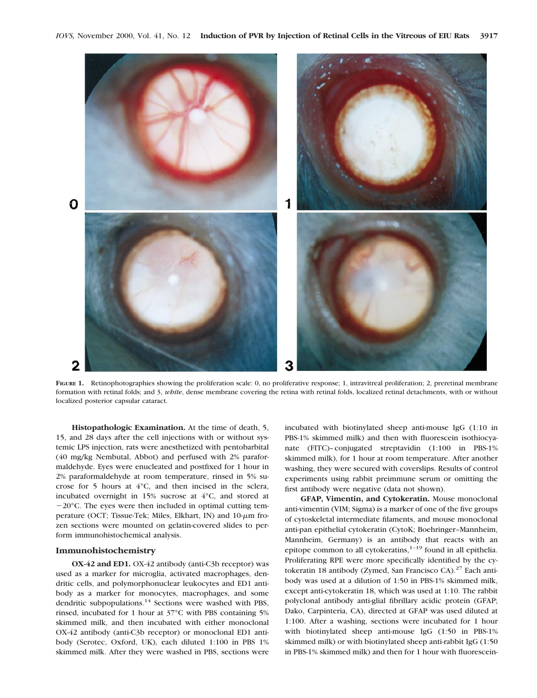

FIGURE 1. Retinophotographies showing the proliferation scale: 0, no proliferative response; 1, intravitreal proliferation; 2, preretinal membrane formation with retinal folds; and 3, *white*, dense membrane covering the retina with retinal folds, localized retinal detachments, with or without localized posterior capsular cataract.

**Histopathologic Examination.** At the time of death, 5, 15, and 28 days after the cell injections with or without systemic LPS injection, rats were anesthetized with pentobarbital (40 mg/kg Nembutal, Abbot) and perfused with 2% paraformaldehyde. Eyes were enucleated and postfixed for 1 hour in 2% paraformaldehyde at room temperature, rinsed in 5% sucrose for 5 hours at 4°C, and then incised in the sclera, incubated overnight in 15% sucrose at 4°C, and stored at  $-20^{\circ}$ C. The eyes were then included in optimal cutting temperature (OCT; Tissue-Tek; Miles, Elkhart, IN) and  $10-\mu m$  frozen sections were mounted on gelatin-covered slides to perform immunohistochemical analysis.

#### **Immunohistochemistry**

**OX-42 and ED1.** OX-42 antibody (anti-C3b receptor) was used as a marker for microglia, activated macrophages, dendritic cells, and polymorphonuclear leukocytes and ED1 antibody as a marker for monocytes, macrophages, and some dendritic subpopulations.14 Sections were washed with PBS, rinsed, incubated for 1 hour at 37°C with PBS containing 5% skimmed milk, and then incubated with either monoclonal OX-42 antibody (anti-C3b receptor) or monoclonal ED1 antibody (Serotec, Oxford, UK), each diluted 1:100 in PBS 1% skimmed milk. After they were washed in PBS, sections were

incubated with biotinylated sheep anti-mouse IgG (1:10 in PBS-1% skimmed milk) and then with fluorescein isothiocyanate (FITC)–conjugated streptavidin (1:100 in PBS-1% skimmed milk), for 1 hour at room temperature. After another washing, they were secured with coverslips. Results of control experiments using rabbit preimmune serum or omitting the first antibody were negative (data not shown).

**GFAP, Vimentin, and Cytokeratin.** Mouse monoclonal anti-vimentin (VIM; Sigma) is a marker of one of the five groups of cytoskeletal intermediate filaments, and mouse monoclonal anti-pan epithelial cytokeratin (CytoK; Boehringer–Mannheim, Mannheim, Germany) is an antibody that reacts with an epitope common to all cytokeratins,<sup>1-19</sup> found in all epithelia. Proliferating RPE were more specifically identified by the cytokeratin 18 antibody (Zymed, San Francisco CA). $27$  Each antibody was used at a dilution of 1:50 in PBS-1% skimmed milk, except anti-cytokeratin 18, which was used at 1:10. The rabbit polyclonal antibody anti-glial fibrillary acidic protein (GFAP; Dako, Carpinteria, CA), directed at GFAP was used diluted at 1:100. After a washing, sections were incubated for 1 hour with biotinylated sheep anti-mouse IgG (1:50 in PBS-1% skimmed milk) or with biotinylated sheep anti-rabbit IgG (1:50 in PBS-1% skimmed milk) and then for 1 hour with fluorescein-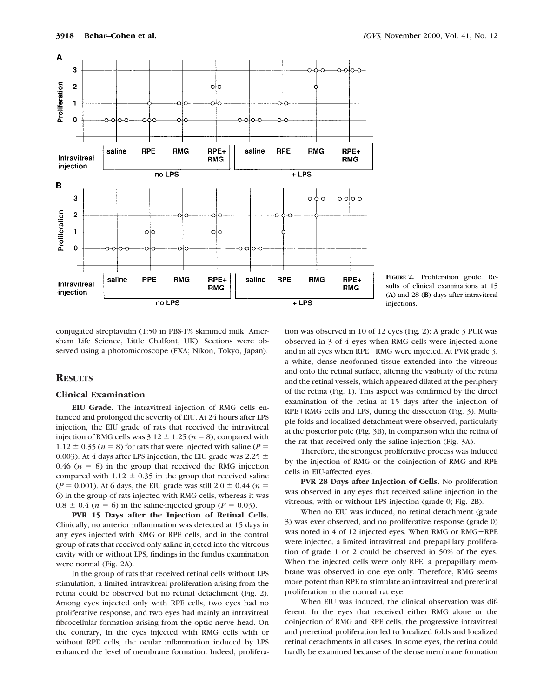

**FIGURE 2.** Proliferation grade. Results of clinical examinations at 15 (**A**) and 28 (**B**) days after intravitreal injections.

conjugated streptavidin (1:50 in PBS-1% skimmed milk; Amersham Life Science, Little Chalfont, UK). Sections were observed using a photomicroscope (FXA; Nikon, Tokyo, Japan).

## **RESULTS**

## **Clinical Examination**

**EIU Grade.** The intravitreal injection of RMG cells enhanced and prolonged the severity of EIU. At 24 hours after LPS injection, the EIU grade of rats that received the intravitreal injection of RMG cells was  $3.12 \pm 1.25$  ( $n = 8$ ), compared with  $1.12 \pm 0.35$  ( $n = 8$ ) for rats that were injected with saline ( $P =$ 0.003). At 4 days after LPS injection, the EIU grade was 2.25  $\pm$ 0.46  $(n = 8)$  in the group that received the RMG injection compared with  $1.12 \pm 0.35$  in the group that received saline  $(P = 0.001)$ . At 6 days, the EIU grade was still 2.0  $\pm$  0.44 (*n* = 6) in the group of rats injected with RMG cells, whereas it was  $0.8 \pm 0.4$  ( $n = 6$ ) in the saline-injected group ( $P = 0.03$ ).

**PVR 15 Days after the Injection of Retinal Cells.** Clinically, no anterior inflammation was detected at 15 days in any eyes injected with RMG or RPE cells, and in the control group of rats that received only saline injected into the vitreous cavity with or without LPS, findings in the fundus examination were normal (Fig. 2A).

In the group of rats that received retinal cells without LPS stimulation, a limited intravitreal proliferation arising from the retina could be observed but no retinal detachment (Fig. 2). Among eyes injected only with RPE cells, two eyes had no proliferative response, and two eyes had mainly an intravitreal fibrocellular formation arising from the optic nerve head. On the contrary, in the eyes injected with RMG cells with or without RPE cells, the ocular inflammation induced by LPS enhanced the level of membrane formation. Indeed, prolifera-

tion was observed in 10 of 12 eyes (Fig. 2): A grade 3 PUR was observed in 3 of 4 eyes when RMG cells were injected alone and in all eyes when RPE+RMG were injected. At PVR grade 3, a white, dense neoformed tissue extended into the vitreous and onto the retinal surface, altering the visibility of the retina and the retinal vessels, which appeared dilated at the periphery of the retina (Fig. 1). This aspect was confirmed by the direct examination of the retina at 15 days after the injection of RPE+RMG cells and LPS, during the dissection (Fig. 3). Multiple folds and localized detachment were observed, particularly at the posterior pole (Fig. 3B), in comparison with the retina of the rat that received only the saline injection (Fig. 3A).

Therefore, the strongest proliferative process was induced by the injection of RMG or the coinjection of RMG and RPE cells in EIU-affected eyes.

**PVR 28 Days after Injection of Cells.** No proliferation was observed in any eyes that received saline injection in the vitreous, with or without LPS injection (grade 0; Fig. 2B).

When no EIU was induced, no retinal detachment (grade 3) was ever observed, and no proliferative response (grade 0) was noted in  $4$  of 12 injected eyes. When RMG or RMG+RPE were injected, a limited intravitreal and prepapillary proliferation of grade 1 or 2 could be observed in 50% of the eyes. When the injected cells were only RPE, a prepapillary membrane was observed in one eye only. Therefore, RMG seems more potent than RPE to stimulate an intravitreal and preretinal proliferation in the normal rat eye.

When EIU was induced, the clinical observation was different. In the eyes that received either RMG alone or the coinjection of RMG and RPE cells, the progressive intravitreal and preretinal proliferation led to localized folds and localized retinal detachments in all cases. In some eyes, the retina could hardly be examined because of the dense membrane formation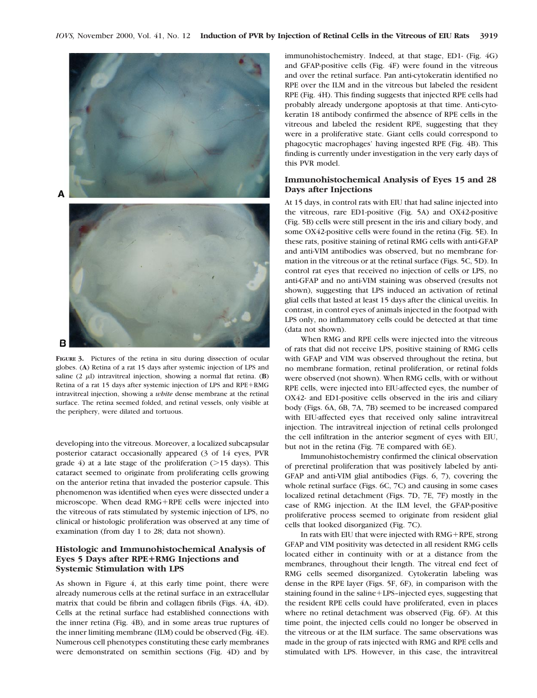

**FIGURE 3.** Pictures of the retina in situ during dissection of ocular globes. (**A**) Retina of a rat 15 days after systemic injection of LPS and saline  $(2 \mu I)$  intravitreal injection, showing a normal flat retina. **(B)** Retina of a rat 15 days after systemic injection of LPS and RPE+RMG intravitreal injection, showing a *white* dense membrane at the retinal surface. The retina seemed folded, and retinal vessels, only visible at the periphery, were dilated and tortuous.

developing into the vitreous. Moreover, a localized subcapsular posterior cataract occasionally appeared (3 of 14 eyes, PVR grade 4) at a late stage of the proliferation  $(>15 \text{ days})$ . This cataract seemed to originate from proliferating cells growing on the anterior retina that invaded the posterior capsule. This phenomenon was identified when eyes were dissected under a microscope. When dead RMG+RPE cells were injected into the vitreous of rats stimulated by systemic injection of LPS, no clinical or histologic proliferation was observed at any time of examination (from day 1 to 28; data not shown).

## **Histologic and Immunohistochemical Analysis of Eyes 5 Days after RPE**1**RMG Injections and Systemic Stimulation with LPS**

As shown in Figure 4, at this early time point, there were already numerous cells at the retinal surface in an extracellular matrix that could be fibrin and collagen fibrils (Figs. 4A, 4D). Cells at the retinal surface had established connections with the inner retina (Fig. 4B), and in some areas true ruptures of the inner limiting membrane (ILM) could be observed (Fig. 4E). Numerous cell phenotypes constituting these early membranes were demonstrated on semithin sections (Fig. 4D) and by

immunohistochemistry. Indeed, at that stage, ED1- (Fig. 4G) and GFAP-positive cells (Fig. 4F) were found in the vitreous and over the retinal surface. Pan anti-cytokeratin identified no RPE over the ILM and in the vitreous but labeled the resident RPE (Fig. 4H). This finding suggests that injected RPE cells had probably already undergone apoptosis at that time. Anti-cytokeratin 18 antibody confirmed the absence of RPE cells in the vitreous and labeled the resident RPE, suggesting that they were in a proliferative state. Giant cells could correspond to phagocytic macrophages' having ingested RPE (Fig. 4B). This finding is currently under investigation in the very early days of this PVR model.

## **Immunohistochemical Analysis of Eyes 15 and 28 Days after Injections**

At 15 days, in control rats with EIU that had saline injected into the vitreous, rare ED1-positive (Fig. 5A) and OX42-positive (Fig. 5B) cells were still present in the iris and ciliary body, and some OX42-positive cells were found in the retina (Fig. 5E). In these rats, positive staining of retinal RMG cells with anti-GFAP and anti-VIM antibodies was observed, but no membrane formation in the vitreous or at the retinal surface (Figs. 5C, 5D). In control rat eyes that received no injection of cells or LPS, no anti-GFAP and no anti-VIM staining was observed (results not shown), suggesting that LPS induced an activation of retinal glial cells that lasted at least 15 days after the clinical uveitis. In contrast, in control eyes of animals injected in the footpad with LPS only, no inflammatory cells could be detected at that time (data not shown).

When RMG and RPE cells were injected into the vitreous of rats that did not receive LPS, positive staining of RMG cells with GFAP and VIM was observed throughout the retina, but no membrane formation, retinal proliferation, or retinal folds were observed (not shown). When RMG cells, with or without RPE cells, were injected into EIU-affected eyes, the number of OX42- and ED1-positive cells observed in the iris and ciliary body (Figs. 6A, 6B, 7A, 7B) seemed to be increased compared with EIU-affected eyes that received only saline intravitreal injection. The intravitreal injection of retinal cells prolonged the cell infiltration in the anterior segment of eyes with EIU, but not in the retina (Fig. 7E compared with 6E).

Immunohistochemistry confirmed the clinical observation of preretinal proliferation that was positively labeled by anti-GFAP and anti-VIM glial antibodies (Figs. 6, 7), covering the whole retinal surface (Figs. 6C, 7C) and causing in some cases localized retinal detachment (Figs. 7D, 7E, 7F) mostly in the case of RMG injection. At the ILM level, the GFAP-positive proliferative process seemed to originate from resident glial cells that looked disorganized (Fig. 7C).

In rats with EIU that were injected with  $RMG+RPE$ , strong GFAP and VIM positivity was detected in all resident RMG cells located either in continuity with or at a distance from the membranes, throughout their length. The vitreal end feet of RMG cells seemed disorganized. Cytokeratin labeling was dense in the RPE layer (Figs. 5F, 6F), in comparison with the staining found in the saline+LPS-injected eyes, suggesting that the resident RPE cells could have proliferated, even in places where no retinal detachment was observed (Fig. 6F). At this time point, the injected cells could no longer be observed in the vitreous or at the ILM surface. The same observations was made in the group of rats injected with RMG and RPE cells and stimulated with LPS. However, in this case, the intravitreal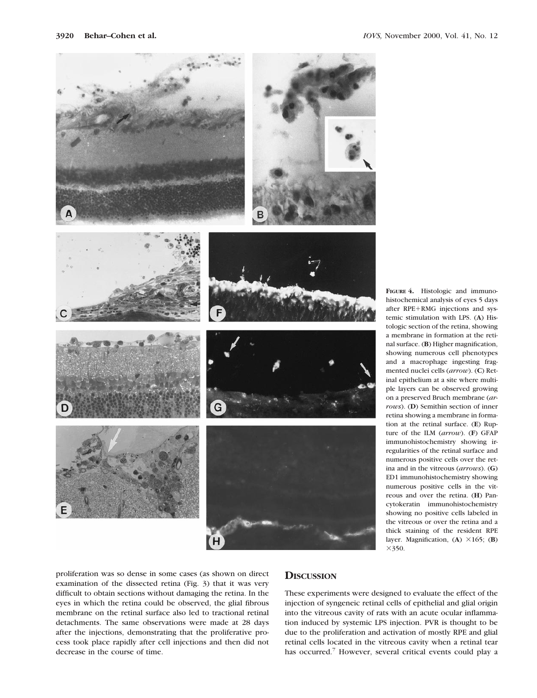

**FIGURE 4.** Histologic and immunohistochemical analysis of eyes 5 days after RPE+RMG injections and systemic stimulation with LPS. (**A**) Histologic section of the retina, showing a membrane in formation at the retinal surface. (**B**) Higher magnification, showing numerous cell phenotypes and a macrophage ingesting fragmented nuclei cells (*arrow*). (**C**) Retinal epithelium at a site where multiple layers can be observed growing on a preserved Bruch membrane (*arrows*). (**D**) Semithin section of inner retina showing a membrane in formation at the retinal surface. (**E**) Rupture of the ILM (*arrow*). (**F**) GFAP immunohistochemistry showing irregularities of the retinal surface and numerous positive cells over the retina and in the vitreous (*arrows*). (**G**) ED1 immunohistochemistry showing numerous positive cells in the vitreous and over the retina. (**H**) Pancytokeratin immunohistochemistry showing no positive cells labeled in the vitreous or over the retina and a thick staining of the resident RPE layer. Magnification,  $(A) \times 165$ ;  $(B)$  $\times$ 350.

proliferation was so dense in some cases (as shown on direct examination of the dissected retina (Fig. 3) that it was very difficult to obtain sections without damaging the retina. In the eyes in which the retina could be observed, the glial fibrous membrane on the retinal surface also led to tractional retinal detachments. The same observations were made at 28 days after the injections, demonstrating that the proliferative process took place rapidly after cell injections and then did not decrease in the course of time.

# **DISCUSSION**

These experiments were designed to evaluate the effect of the injection of syngeneic retinal cells of epithelial and glial origin into the vitreous cavity of rats with an acute ocular inflammation induced by systemic LPS injection. PVR is thought to be due to the proliferation and activation of mostly RPE and glial retinal cells located in the vitreous cavity when a retinal tear has occurred.<sup>7</sup> However, several critical events could play a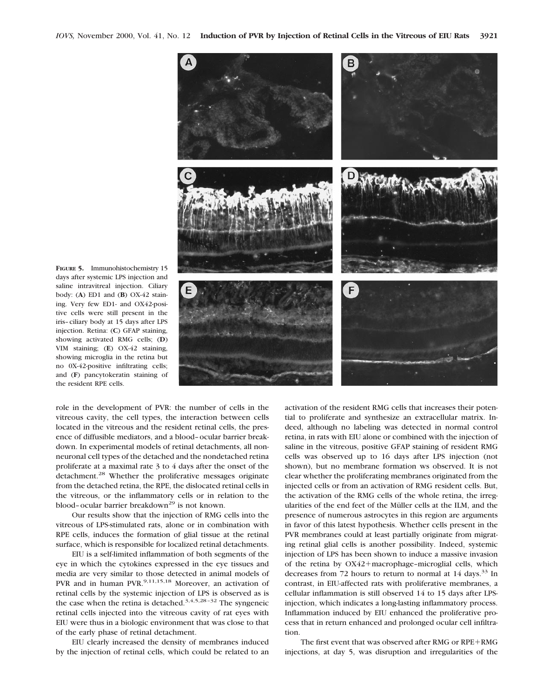

**FIGURE 5.** Immunohistochemistry 15 days after systemic LPS injection and saline intravitreal injection. Ciliary body: (**A**) ED1 and (**B**) OX-42 staining. Very few ED1- and OX42-positive cells were still present in the iris–ciliary body at 15 days after LPS injection. Retina: (**C**) GFAP staining, showing activated RMG cells; (**D**) VIM staining; (**E**) OX-42 staining, showing microglia in the retina but no 0X-42-positive infiltrating cells; and (**F**) pancytokeratin staining of the resident RPE cells.

role in the development of PVR: the number of cells in the vitreous cavity, the cell types, the interaction between cells located in the vitreous and the resident retinal cells, the presence of diffusible mediators, and a blood–ocular barrier breakdown. In experimental models of retinal detachments, all nonneuronal cell types of the detached and the nondetached retina proliferate at a maximal rate 3 to 4 days after the onset of the detachment.<sup>28</sup> Whether the proliferative messages originate from the detached retina, the RPE, the dislocated retinal cells in the vitreous, or the inflammatory cells or in relation to the blood-ocular barrier breakdown<sup>29</sup> is not known.

Our results show that the injection of RMG cells into the vitreous of LPS-stimulated rats, alone or in combination with RPE cells, induces the formation of glial tissue at the retinal surface, which is responsible for localized retinal detachments.

EIU is a self-limited inflammation of both segments of the eye in which the cytokines expressed in the eye tissues and media are very similar to those detected in animal models of PVR and in human PVR.<sup>9,11,15,18</sup> Moreover, an activation of retinal cells by the systemic injection of LPS is observed as is the case when the retina is detached.<sup>3,4,5,28-32</sup> The syngeneic retinal cells injected into the vitreous cavity of rat eyes with EIU were thus in a biologic environment that was close to that of the early phase of retinal detachment.

EIU clearly increased the density of membranes induced by the injection of retinal cells, which could be related to an activation of the resident RMG cells that increases their potential to proliferate and synthesize an extracellular matrix. Indeed, although no labeling was detected in normal control retina, in rats with EIU alone or combined with the injection of saline in the vitreous, positive GFAP staining of resident RMG cells was observed up to 16 days after LPS injection (not shown), but no membrane formation ws observed. It is not clear whether the proliferating membranes originated from the injected cells or from an activation of RMG resident cells. But, the activation of the RMG cells of the whole retina, the irregularities of the end feet of the Müller cells at the ILM, and the presence of numerous astrocytes in this region are arguments in favor of this latest hypothesis. Whether cells present in the PVR membranes could at least partially originate from migrating retinal glial cells is another possibility. Indeed, systemic injection of LPS has been shown to induce a massive invasion of the retina by OX42+macrophage-microglial cells, which decreases from 72 hours to return to normal at  $14$  days.<sup>33</sup> In contrast, in EIU-affected rats with proliferative membranes, a cellular inflammation is still observed 14 to 15 days after LPSinjection, which indicates a long-lasting inflammatory process. Inflammation induced by EIU enhanced the proliferative process that in return enhanced and prolonged ocular cell infiltration.

The first event that was observed after RMG or RPE+RMG injections, at day 5, was disruption and irregularities of the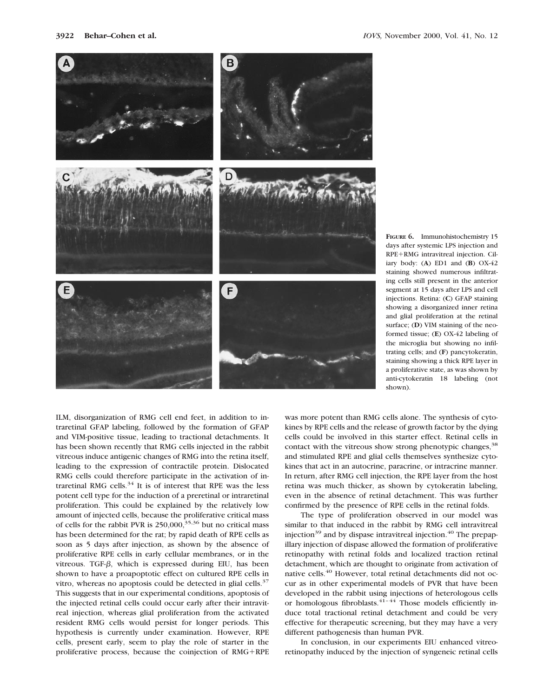

**FIGURE 6.** Immunohistochemistry 15 days after systemic LPS injection and RPE+RMG intravitreal injection. Ciliary body: (**A**) ED1 and (**B**) OX-42 staining showed numerous infiltrating cells still present in the anterior segment at 15 days after LPS and cell injections. Retina: (**C**) GFAP staining showing a disorganized inner retina and glial proliferation at the retinal surface; (**D**) VIM staining of the neoformed tissue; (**E**) OX-42 labeling of the microglia but showing no infiltrating cells; and (**F**) pancytokeratin, staining showing a thick RPE layer in a proliferative state, as was shown by anti-cytokeratin 18 labeling (not shown).

ILM, disorganization of RMG cell end feet, in addition to intraretinal GFAP labeling, followed by the formation of GFAP and VIM-positive tissue, leading to tractional detachments. It has been shown recently that RMG cells injected in the rabbit vitreous induce antigenic changes of RMG into the retina itself, leading to the expression of contractile protein. Dislocated RMG cells could therefore participate in the activation of intraretinal RMG cells. $34$  It is of interest that RPE was the less potent cell type for the induction of a preretinal or intraretinal proliferation. This could be explained by the relatively low amount of injected cells, because the proliferative critical mass of cells for the rabbit PVR is  $250,000$ ,  $35,36$  but no critical mass has been determined for the rat; by rapid death of RPE cells as soon as 5 days after injection, as shown by the absence of proliferative RPE cells in early cellular membranes, or in the vitreous. TGF- $\beta$ , which is expressed during EIU, has been shown to have a proapoptotic effect on cultured RPE cells in vitro, whereas no apoptosis could be detected in glial cells. $37$ This suggests that in our experimental conditions, apoptosis of the injected retinal cells could occur early after their intravitreal injection, whereas glial proliferation from the activated resident RMG cells would persist for longer periods. This hypothesis is currently under examination. However, RPE cells, present early, seem to play the role of starter in the proliferative process, because the coinjection of  $RMG+RPE$  was more potent than RMG cells alone. The synthesis of cytokines by RPE cells and the release of growth factor by the dying cells could be involved in this starter effect. Retinal cells in contact with the vitreous show strong phenotypic changes,<sup>38</sup> and stimulated RPE and glial cells themselves synthesize cytokines that act in an autocrine, paracrine, or intracrine manner. In return, after RMG cell injection, the RPE layer from the host retina was much thicker, as shown by cytokeratin labeling, even in the absence of retinal detachment. This was further confirmed by the presence of RPE cells in the retinal folds.

The type of proliferation observed in our model was similar to that induced in the rabbit by RMG cell intravitreal injection<sup>39</sup> and by dispase intravitreal injection.<sup>40</sup> The prepapillary injection of dispase allowed the formation of proliferative retinopathy with retinal folds and localized traction retinal detachment, which are thought to originate from activation of native cells.<sup>40</sup> However, total retinal detachments did not occur as in other experimental models of PVR that have been developed in the rabbit using injections of heterologous cells or homologous fibroblasts. $41-44$  Those models efficiently induce total tractional retinal detachment and could be very effective for therapeutic screening, but they may have a very different pathogenesis than human PVR.

In conclusion, in our experiments EIU enhanced vitreoretinopathy induced by the injection of syngeneic retinal cells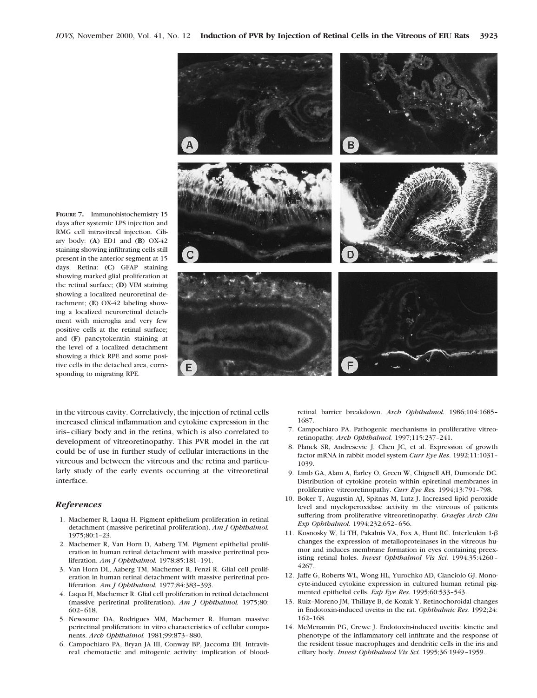**FIGURE 7.** Immunohistochemistry 15 days after systemic LPS injection and RMG cell intravitreal injection. Ciliary body: (**A**) ED1 and (**B**) OX-42 staining showing infiltrating cells still present in the anterior segment at 15 days. Retina: (**C**) GFAP staining showing marked glial proliferation at the retinal surface; (**D**) VIM staining showing a localized neuroretinal detachment; (**E**) OX-42 labeling showing a localized neuroretinal detachment with microglia and very few positive cells at the retinal surface; and (**F**) pancytokeratin staining at the level of a localized detachment showing a thick RPE and some positive cells in the detached area, corresponding to migrating RPE.



in the vitreous cavity. Correlatively, the injection of retinal cells increased clinical inflammation and cytokine expression in the iris–ciliary body and in the retina, which is also correlated to development of vitreoretinopathy. This PVR model in the rat could be of use in further study of cellular interactions in the vitreous and between the vitreous and the retina and particularly study of the early events occurring at the vitreoretinal interface.

#### *References*

- 1. Machemer R, Laqua H. Pigment epithelium proliferation in retinal detachment (massive periretinal proliferation). *Am J Ophthalmol.* 1975;80:1–23.
- 2. Machemer R, Van Horn D, Aaberg TM. Pigment epithelial proliferation in human retinal detachment with massive periretinal proliferation. *Am J Ophthalmol.* 1978;85:181–191.
- 3. Van Horn DL, Aaberg TM, Machemer R, Fenzi R. Glial cell proliferation in human retinal detachment with massive periretinal proliferation. *Am J Ophthalmol.* 1977;84:383–393.
- 4. Laqua H, Machemer R. Glial cell proliferation in retinal detachment (massive periretinal proliferation). *Am J Ophthalmol.* 1975;80: 602–618.
- 5. Newsome DA, Rodrigues MM, Machemer R. Human massive periretinal proliferation: in vitro characteristics of cellular components. *Arch Ophthalmol.* 1981;99:873–880.
- 6. Campochiaro PA, Bryan JA III, Conway BP, Jaccoma EH. Intravitreal chemotactic and mitogenic activity: implication of blood-

retinal barrier breakdown. *Arch Ophthalmol.* 1986;104:1685– 1687.

- 7. Campochiaro PA. Pathogenic mechanisms in proliferative vitreoretinopathy*. Arch Ophthalmol.* 1997;115:237–241.
- 8. Planck SR, Andresevic J, Chen JC, et al. Expression of growth factor mRNA in rabbit model system *Curr Eye Res*. 1992;11:1031– 1039.
- 9. Limb GA, Alam A, Earley O, Green W, Chignell AH, Dumonde DC. Distribution of cytokine protein within epiretinal membranes in proliferative vitreoretinopathy. *Curr Eye Res.* 1994;13:791–798.
- 10. Boker T, Augustin AJ, Spitnas M, Lutz J. Increased lipid peroxide level and myeloperoxidase activity in the vitreous of patients suffering from proliferative vitreoretinopathy. *Graefes Arch Clin Exp Ophthalmol.* 1994;232:652–656.
- 11. Kosnosky W, Li TH, Pakalnis VA, Fox A, Hunt RC. Interleukin  $1-\beta$ changes the expression of metalloproteinases in the vitreous humor and induces membrane formation in eyes containing preexisting retinal holes. *Invest Ophthalmol Vis Sci.* 1994;35:4260– 4267.
- 12. Jaffe G, Roberts WL, Wong HL, Yurochko AD, Cianciolo GJ. Monocyte-induced cytokine expression in cultured human retinal pigmented epithelial cells. *Exp Eye Res.* 1995;60:533–543.
- 13. Ruiz–Moreno JM, Thillaye B, de Kozak Y. Retinochoroidal changes in Endotoxin-induced uveitis in the rat. *Ophthalmic Res.* 1992;24: 162–168.
- 14. McMenamin PG, Crewe J. Endotoxin-induced uveitis: kinetic and phenotype of the inflammatory cell infiltrate and the response of the resident tissue macrophages and dendritic cells in the iris and ciliary body. *Invest Ophthalmol Vis Sci.* 1995;36:1949–1959.